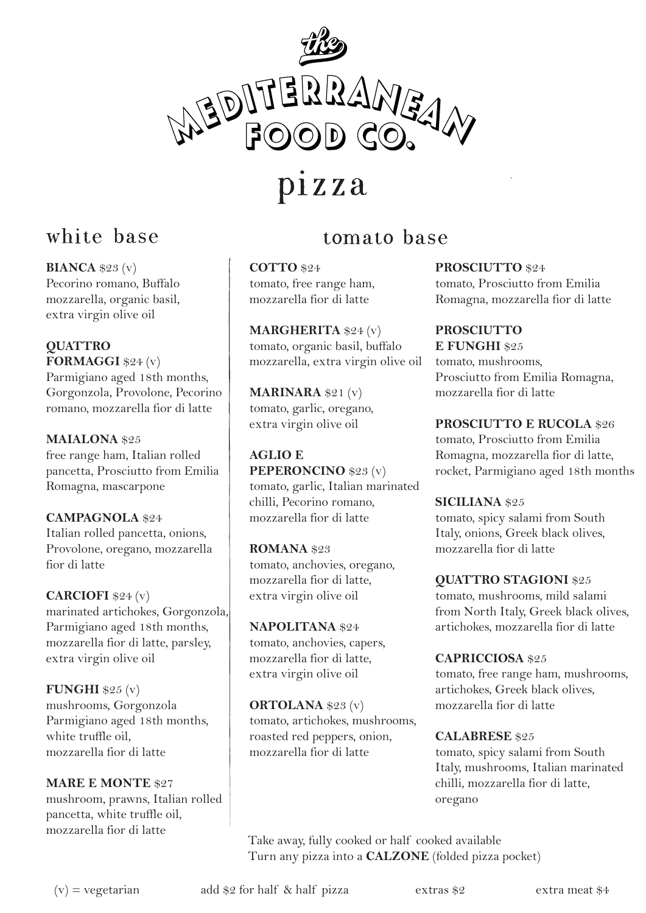

pizza

## white base

**BIANCA** \$23 (v) Pecorino romano, Buffalo mozzarella, organic basil, extra virgin olive oil

**QUATTRO FORMAGGI** \$24 (v) Parmigiano aged 18th months, Gorgonzola, Provolone, Pecorino romano, mozzarella fior di latte

**MAIALONA** \$25 free range ham, Italian rolled pancetta, Prosciutto from Emilia Romagna, mascarpone

**CAMPAGNOLA** \$24 Italian rolled pancetta, onions, Provolone, oregano, mozzarella fior di latte

**CARCIOFI** \$24 (v) marinated artichokes, Gorgonzola, Parmigiano aged 18th months, mozzarella fior di latte, parsley, extra virgin olive oil

**FUNGHI** \$25 (v) mushrooms, Gorgonzola Parmigiano aged 18th months, white truffle oil, mozzarella fior di latte

**MARE E MONTE** \$27 mushroom, prawns, Italian rolled pancetta, white truffle oil, mozzarella fior di latte

### tomato base

**COTTO** \$24 tomato, free range ham, mozzarella fior di latte

**MARGHERITA** \$24 (v) tomato, organic basil, buffalo mozzarella, extra virgin olive oil

**MARINARA** \$21 (v) tomato, garlic, oregano, extra virgin olive oil

**AGLIO E PEPERONCINO** \$23 (v) tomato, garlic, Italian marinated chilli, Pecorino romano, mozzarella fior di latte

**ROMANA** \$23 tomato, anchovies, oregano, mozzarella fior di latte, extra virgin olive oil

**NAPOLITANA** \$24 tomato, anchovies, capers, mozzarella fior di latte, extra virgin olive oil

**ORTOLANA** \$23 (v) tomato, artichokes, mushrooms, roasted red peppers, onion, mozzarella fior di latte

#### **PROSCIUTTO** \$24

tomato, Prosciutto from Emilia Romagna, mozzarella fior di latte

**PROSCIUTTO E FUNGHI** \$25

tomato, mushrooms, Prosciutto from Emilia Romagna, mozzarella fior di latte

**PROSCIUTTO E RUCOLA** \$26 tomato, Prosciutto from Emilia Romagna, mozzarella fior di latte, rocket, Parmigiano aged 18th months

**SICILIANA** \$25 tomato, spicy salami from South Italy, onions, Greek black olives, mozzarella fior di latte

**QUATTRO STAGIONI** \$25 tomato, mushrooms, mild salami from North Italy, Greek black olives, artichokes, mozzarella fior di latte

**CAPRICCIOSA** \$25 tomato, free range ham, mushrooms, artichokes, Greek black olives, mozzarella fior di latte

#### **CALABRESE** \$25

tomato, spicy salami from South Italy, mushrooms, Italian marinated chilli, mozzarella fior di latte, oregano

 Take away, fully cooked or half cooked available Turn any pizza into a **CALZONE** (folded pizza pocket)

(v) = vegetarian add \$2 for half & half pizza extras \$2 extra meat \$4